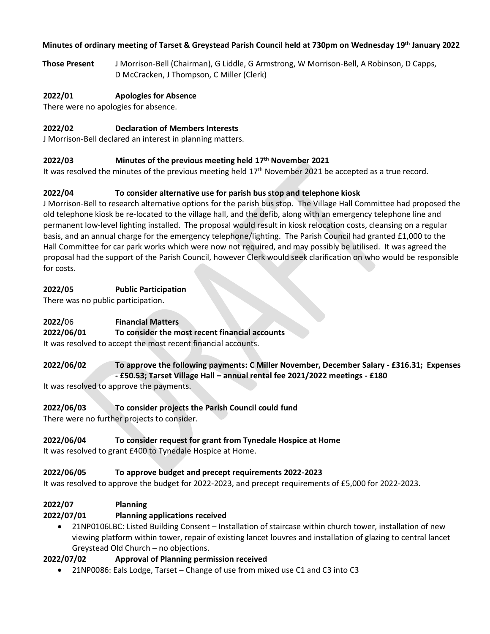### **Minutes of ordinary meeting of Tarset & Greystead Parish Council held at 730pm on Wednesday 19 th January 2022**

**Those Present** J Morrison-Bell (Chairman), G Liddle, G Armstrong, W Morrison-Bell, A Robinson, D Capps, D McCracken, J Thompson, C Miller (Clerk)

#### **2022/01 Apologies for Absence**

There were no apologies for absence.

#### **2022/02 Declaration of Members Interests**

J Morrison-Bell declared an interest in planning matters.

#### **2022/03 Minutes of the previous meeting held 17th November 2021**

It was resolved the minutes of the previous meeting held 17<sup>th</sup> November 2021 be accepted as a true record.

## **2022/04 To consider alternative use for parish bus stop and telephone kiosk**

J Morrison-Bell to research alternative options for the parish bus stop. The Village Hall Committee had proposed the old telephone kiosk be re-located to the village hall, and the defib, along with an emergency telephone line and permanent low-level lighting installed. The proposal would result in kiosk relocation costs, cleansing on a regular basis, and an annual charge for the emergency telephone/lighting. The Parish Council had granted £1,000 to the Hall Committee for car park works which were now not required, and may possibly be utilised. It was agreed the proposal had the support of the Parish Council, however Clerk would seek clarification on who would be responsible for costs.

#### **2022/05 Public Participation**

There was no public participation.

## **2022/**06 **Financial Matters**

## **2022/06/01 To consider the most recent financial accounts**

It was resolved to accept the most recent financial accounts.

#### **2022/06/02 To approve the following payments: C Miller November, December Salary - £316.31; Expenses - £50.53; Tarset Village Hall – annual rental fee 2021/2022 meetings - £180**

It was resolved to approve the payments.

## **2022/06/03 To consider projects the Parish Council could fund**

There were no further projects to consider.

## **2022/06/04 To consider request for grant from Tynedale Hospice at Home**

It was resolved to grant £400 to Tynedale Hospice at Home.

#### **2022/06/05 To approve budget and precept requirements 2022-2023**

It was resolved to approve the budget for 2022-2023, and precept requirements of £5,000 for 2022-2023.

## **2022/07 Planning**

## **2022/07/01 Planning applications received**

• 21NP0106LBC: Listed Building Consent – Installation of staircase within church tower, installation of new viewing platform within tower, repair of existing lancet louvres and installation of glazing to central lancet Greystead Old Church – no objections.

## **2022/07/02 Approval of Planning permission received**

• 21NP0086: Eals Lodge, Tarset – Change of use from mixed use C1 and C3 into C3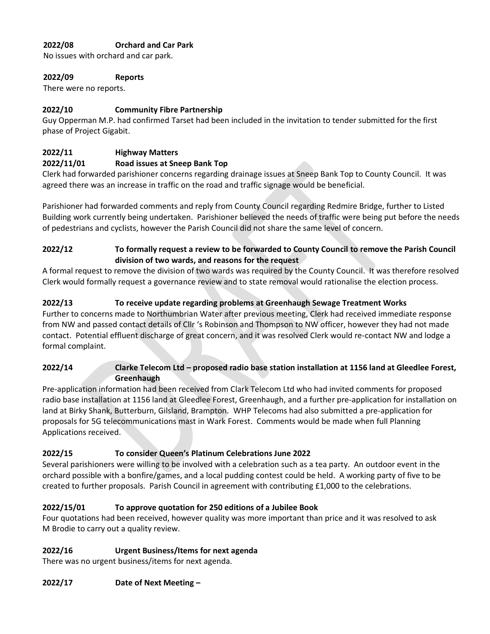# **2022/08 Orchard and Car Park**

No issues with orchard and car park.

#### **2022/09 Reports**

There were no reports.

# **2022/10 Community Fibre Partnership**

Guy Opperman M.P. had confirmed Tarset had been included in the invitation to tender submitted for the first phase of Project Gigabit.

# **2022/11 Highway Matters**

## **2022/11/01 Road issues at Sneep Bank Top**

Clerk had forwarded parishioner concerns regarding drainage issues at Sneep Bank Top to County Council. It was agreed there was an increase in traffic on the road and traffic signage would be beneficial.

Parishioner had forwarded comments and reply from County Council regarding Redmire Bridge, further to Listed Building work currently being undertaken. Parishioner believed the needs of traffic were being put before the needs of pedestrians and cyclists, however the Parish Council did not share the same level of concern.

# **2022/12 To formally request a review to be forwarded to County Council to remove the Parish Council division of two wards, and reasons for the request**

A formal request to remove the division of two wards was required by the County Council. It was therefore resolved Clerk would formally request a governance review and to state removal would rationalise the election process.

# **2022/13 To receive update regarding problems at Greenhaugh Sewage Treatment Works**

Further to concerns made to Northumbrian Water after previous meeting, Clerk had received immediate response from NW and passed contact details of Cllr 's Robinson and Thompson to NW officer, however they had not made contact. Potential effluent discharge of great concern, and it was resolved Clerk would re-contact NW and lodge a formal complaint.

# **2022/14 Clarke Telecom Ltd – proposed radio base station installation at 1156 land at Gleedlee Forest, Greenhaugh**

Pre-application information had been received from Clark Telecom Ltd who had invited comments for proposed radio base installation at 1156 land at Gleedlee Forest, Greenhaugh, and a further pre-application for installation on land at Birky Shank, Butterburn, Gilsland, Brampton. WHP Telecoms had also submitted a pre-application for proposals for 5G telecommunications mast in Wark Forest. Comments would be made when full Planning Applications received.

## **2022/15 To consider Queen's Platinum Celebrations June 2022**

Several parishioners were willing to be involved with a celebration such as a tea party. An outdoor event in the orchard possible with a bonfire/games, and a local pudding contest could be held. A working party of five to be created to further proposals. Parish Council in agreement with contributing £1,000 to the celebrations.

# **2022/15/01 To approve quotation for 250 editions of a Jubilee Book**

Four quotations had been received, however quality was more important than price and it was resolved to ask M Brodie to carry out a quality review.

## **2022/16 Urgent Business/Items for next agenda**

There was no urgent business/items for next agenda.

## **2022/17 Date of Next Meeting –**